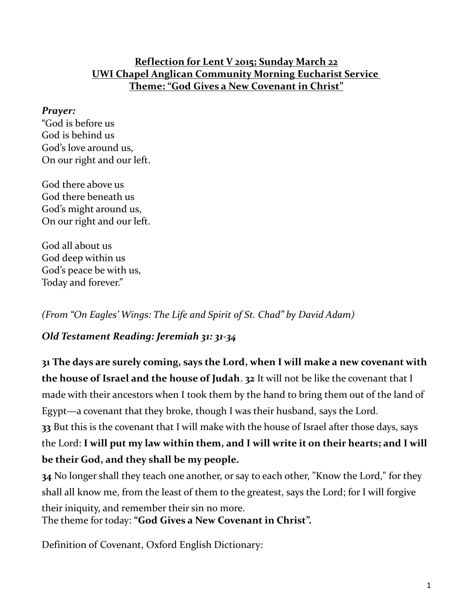#### **Reflection for Lent V 2015; Sunday March 22 UWI Chapel Anglican Community Morning Eucharist Service Theme: " God Gives a New Covenant in Christ"**

#### *Prayer:*

"God is before us God is behind us God's love around us, On our right and our left.

God there above us God there beneath us God's might around us, On our right and our left.

God all about us God deep within us God's peace be with us, Today and forever."

*(From "On Eagles' Wings: The Life and Spirit of St. Chad" by David Adam)*

#### *Old Testament Reading: Jeremiah 31: 31-34*

**31 The days are surely coming, says the Lord, when I will make a new covenant with the house of Israel and the house of Judah**. **32** It will not be like the covenant that I made with their ancestors when I took them by the hand to bring them out of the land of Egypt—a covenant that they broke, though I was their husband, says the Lord. **33** But this is the covenant that I will make with the house of Israel after those days, says the Lord: **I will put my law within them, and I will write it on their hearts; and I will be their God, and they shall be my people.**

**34** No longer shall they teach one another, or say to each other, "Know the Lord," for they shall all know me, from the least of them to the greatest, says the Lord; for I will forgive their iniquity, and remember their sin no more. The theme for today: **"God Gives a New Covenant in Christ".**

Definition of Covenant, Oxford English Dictionary: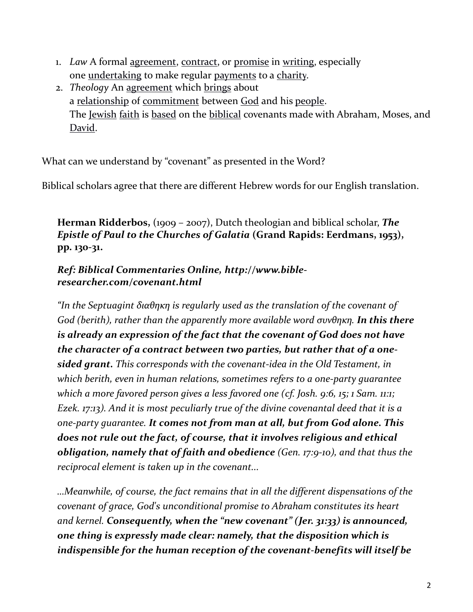- 1. *Law* A formal [agreement,](http://www.oxforddictionaries.com/definition/english/agreement#agreement__5) [contract,](http://www.oxforddictionaries.com/definition/english/contract#contract__6) or [promise](http://www.oxforddictionaries.com/definition/english/promise#promise__3) in [writing,](http://www.oxforddictionaries.com/definition/english/writing#writing__3) especially one <u>[undertaking](http://www.oxforddictionaries.com/definition/english/undertaking#undertaking__3)</u> to make regular [payments](http://www.oxforddictionaries.com/definition/english/payment#payment__6) to a [charity.](http://www.oxforddictionaries.com/definition/english/charity#charity__3)
- 2. *Theology* An [agreement](http://www.oxforddictionaries.com/definition/english/agreement#agreement__3) which [brings](http://www.oxforddictionaries.com/definition/english/bring#bring__4) about a <u>[relationship](http://www.oxforddictionaries.com/definition/english/relationship#relationship__3)</u> of <u>[commitment](http://www.oxforddictionaries.com/definition/english/commitment#commitment__3)</u> between [God](http://www.oxforddictionaries.com/definition/english/God#God__3) and his [people.](http://www.oxforddictionaries.com/definition/english/person#person__3) The [Jewish](http://www.oxforddictionaries.com/definition/english/Jewish#Jewish__3) [faith](http://www.oxforddictionaries.com/definition/english/faith#faith__5) is [based](http://www.oxforddictionaries.com/definition/english/base#base__30) on the [biblical](http://www.oxforddictionaries.com/definition/english/biblical#biblical__3) covenants made with Abraham, Moses, and [David.](http://www.oxforddictionaries.com/definition/english/david#David-2__3)

What can we understand by "covenant" as presented in the Word?

Biblical scholars agree that there are different Hebrew words for our English translation.

**Herman Ridderbos,** (1909 – 2007), Dutch theologian and biblical scholar, *The Epistle of Paul to the Churches of Galatia* **(Grand Rapids: Eerdmans, 1953), pp. 130-31.**

#### *Ref: Biblical Commentaries Online, http://www.bibleresearcher.com/covenant.html*

*"In the Septuagint διαθηκη is regularly used as the translation of the covenant of God (berith), rather than the apparently more available word συνθηκη. In this there is already an expression of the fact that the covenant of God does not have the character of a contract between two parties, but rather that of a onesided grant. This corresponds with the covenant-idea in the Old Testament, in which berith, even in human relations, sometimes refers to a one-party guarantee which a more favored person gives a less favored one (cf. Josh. 9:6, 15; 1 Sam. 11:1; Ezek. 17:13). And it is most peculiarly true of the divine covenantal deed that it is a one-party guarantee. It comes not from man at all, but from God alone. This does not rule out the fact, of course, that it involves religious and ethical obligation, namely that of faith and obedience (Gen. 17:9-10), and that thus the reciprocal element is taken up in the covenant...* 

*…Meanwhile, of course, the fact remains that in all the different dispensations of the covenant of grace, God's unconditional promise to Abraham constitutes its heart and kernel. Consequently, when the "new covenant" (Jer. 31:33) is announced, one thing is expressly made clear: namely, that the disposition which is indispensible for the human reception of the covenant-benefits will itself be*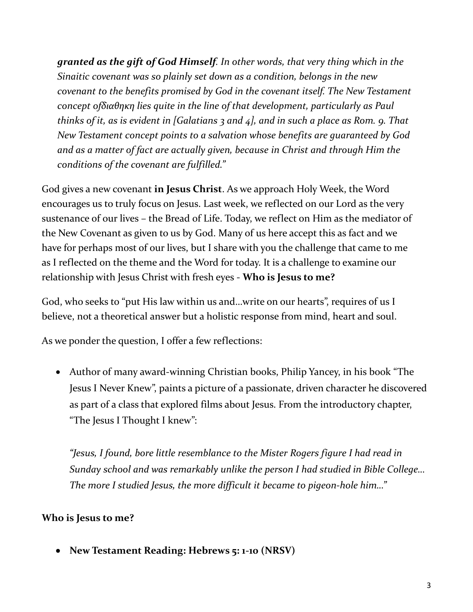*granted as the gift of God Himself. In other words, that very thing which in the Sinaitic covenant was so plainly set down as a condition, belongs in the new covenant to the benefits promised by God in the covenant itself. The New Testament concept ofδιαθηκη lies quite in the line of that development, particularly as Paul thinks of it, as is evident in [Galatians 3 and 4], and in such a place as Rom. 9. That New Testament concept points to a salvation whose benefits are guaranteed by God and as a matter of fact are actually given, because in Christ and through Him the conditions of the covenant are fulfilled."*

God gives a new covenant **in Jesus Christ**. As we approach Holy Week, the Word encourages us to truly focus on Jesus. Last week, we reflected on our Lord as the very sustenance of our lives – the Bread of Life. Today, we reflect on Him as the mediator of the New Covenant as given to us by God. Many of us here accept this as fact and we have for perhaps most of our lives, but I share with you the challenge that came to me as I reflected on the theme and the Word for today. It is a challenge to examine our relationship with Jesus Christ with fresh eyes - **Who is Jesus to me?**

God, who seeks to "put His law within us and…write on our hearts", requires of us I believe, not a theoretical answer but a holistic response from mind, heart and soul.

As we ponder the question, I offer a few reflections:

 Author of many award-winning Christian books, Philip Yancey, in his book "The Jesus I Never Knew", paints a picture of a passionate, driven character he discovered as part of a class that explored films about Jesus. From the introductory chapter, "The Jesus I Thought I knew":

*"Jesus, I found, bore little resemblance to the Mister Rogers figure I had read in Sunday school and was remarkably unlike the person I had studied in Bible College… The more I studied Jesus, the more difficult it became to pigeon-hole him…"*

## **Who is Jesus to me?**

**New Testament Reading: Hebrews 5: 1-10 (NRSV)**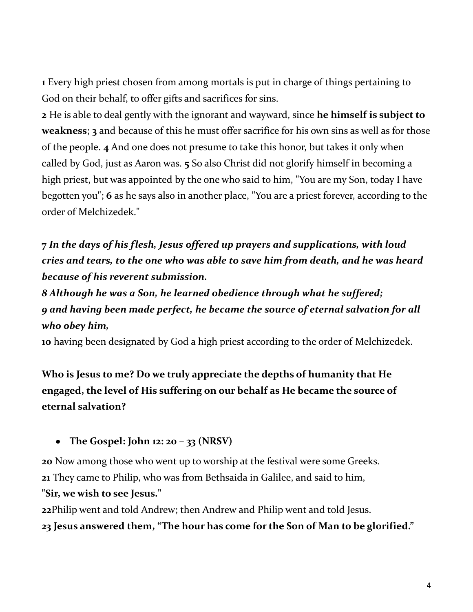**1** Every high priest chosen from among mortals is put in charge of things pertaining to God on their behalf, to offer gifts and sacrifices for sins.

**2** He is able to deal gently with the ignorant and wayward, since **he himself is subject to weakness**; **3** and because of this he must offer sacrifice for his own sins as well as for those of the people. **4** And one does not presume to take this honor, but takes it only when called by God, just as Aaron was. **5** So also Christ did not glorify himself in becoming a high priest, but was appointed by the one who said to him, "You are my Son, today I have begotten you"; **6** as he says also in another place, "You are a priest forever, according to the order of Melchizedek."

**7** *In the days of his flesh, Jesus offered up prayers and supplications, with loud cries and tears, to the one who was able to save him from death, and he was heard because of his reverent submission.*

*8 Although he was a Son, he learned obedience through what he suffered; 9 and having been made perfect, he became the source of eternal salvation for all who obey him,*

**10** having been designated by God a high priest according to the order of Melchizedek.

**Who is Jesus to me? Do we truly appreciate the depths of humanity that He engaged, the level of His suffering on our behalf as He became the source of eternal salvation?**

**The Gospel: John 12: 20 – 33 (NRSV)**

**20** Now among those who went up to worship at the festival were some Greeks. **21** They came to Philip, who was from Bethsaida in Galilee, and said to him, **"Sir, we wish to see Jesus."**

**22**Philip went and told Andrew; then Andrew and Philip went and told Jesus. **23 Jesus answered them, "The hour has come for the Son of Man to be glorified."**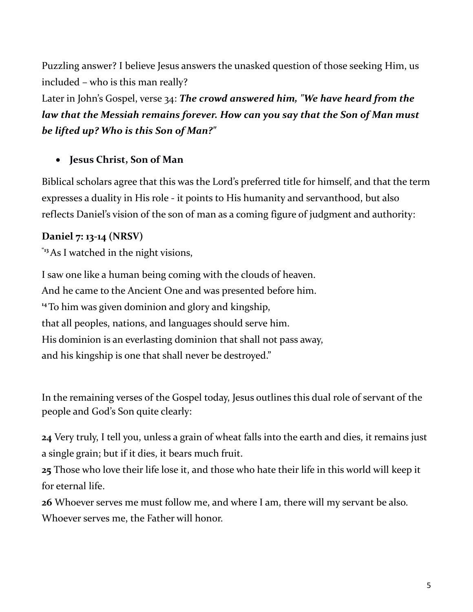Puzzling answer? I believe Jesus answers the unasked question of those seeking Him, us included – who is this man really?

Later in John's Gospel, verse 34: *The crowd answered him, "We have heard from the law that the Messiah remains forever. How can you say that the Son of Man must be lifted up? Who is this Son of Man?"*

### **Jesus Christ, Son of Man**

Biblical scholars agree that this was the Lord's preferred title for himself, and that the term expresses a duality in His role - it points to His humanity and servanthood, but also reflects Daniel's vision of the son of man as a coming figure of judgment and authority:

### **Daniel 7: 13-14 (NRSV)**

**"13**As I watched in the night visions,

I saw one like a human being coming with the clouds of heaven. And he came to the Ancient One and was presented before him. **<sup>14</sup>**To him was given dominion and glory and kingship, that all peoples, nations, and languages should serve him. His dominion is an everlasting dominion that shall not pass away, and his kingship is one that shall never be destroyed."

In the remaining verses of the Gospel today, Jesus outlines this dual role of servant of the people and God's Son quite clearly:

**24** Very truly, I tell you, unless a grain of wheat falls into the earth and dies, it remains just a single grain; but if it dies, it bears much fruit.

**25** Those who love their life lose it, and those who hate their life in this world will keep it for eternal life.

**26** Whoever serves me must follow me, and where I am, there will my servant be also. Whoever serves me, the Father will honor.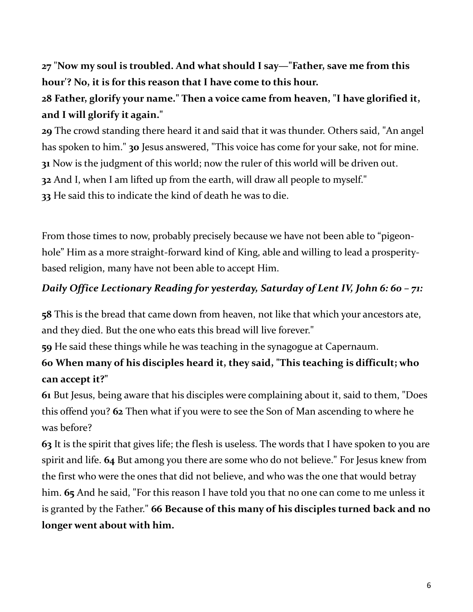**27** "**Now my soul is troubled. And what should I say—"Father, save me from this hour'? No, it is for this reason that I have come to this hour.**

# **28 Father, glorify your name." Then a voice came from heaven, "I have glorified it, and I will glorify it again."**

 The crowd standing there heard it and said that it was thunder. Others said, "An angel has spoken to him." **30** Jesus answered, "This voice has come for your sake, not for mine. Now is the judgment of this world; now the ruler of this world will be driven out. And I, when I am lifted up from the earth, will draw all people to myself." He said this to indicate the kind of death he was to die.

From those times to now, probably precisely because we have not been able to "pigeonhole" Him as a more straight-forward kind of King, able and willing to lead a prosperitybased religion, many have not been able to accept Him.

### *Daily Office Lectionary Reading for yesterday, Saturday of Lent IV, John 6: 60 – 71:*

**58** This is the bread that came down from heaven, not like that which your ancestors ate, and they died. But the one who eats this bread will live forever."

**59** He said these things while he was teaching in the synagogue at Capernaum.

# **60 When many of his disciples heard it, they said, "This teaching is difficult; who can accept it?"**

**61** But Jesus, being aware that his disciples were complaining about it, said to them, "Does this offend you? **62** Then what if you were to see the Son of Man ascending to where he was before?

**63** It is the spirit that gives life; the flesh is useless. The words that I have spoken to you are spirit and life. **64** But among you there are some who do not believe." For Jesus knew from the first who were the ones that did not believe, and who was the one that would betray him. **65** And he said, "For this reason I have told you that no one can come to me unless it is granted by the Father." **66 Because of this many of his disciples turned back and no longer went about with him.**